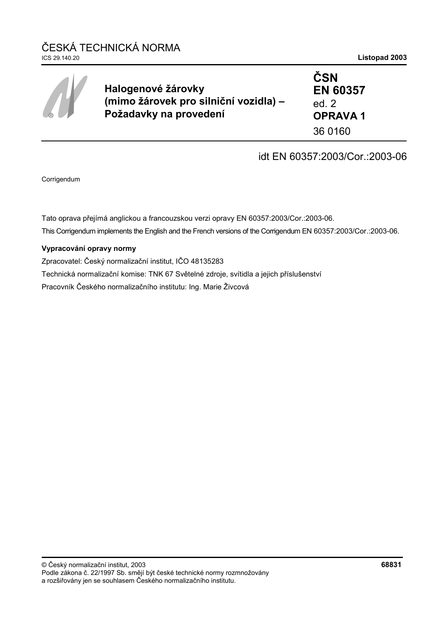| $\circledR$ | Halogenové žárovky<br>(mimo žárovek pro silniční vozidla) -<br>Požadavky na provedení | <b>ČSN</b><br><b>EN 60357</b><br>ed. $2$<br><b>OPRAVA1</b> |
|-------------|---------------------------------------------------------------------------------------|------------------------------------------------------------|
|             |                                                                                       | 36 0160                                                    |

# idt EN 60357:2003/Cor.:2003-06

Corrigendum

Tato oprava přejímá anglickou a francouzskou verzi opravy EN 60357:2003/Cor.:2003-06. This Corrigendum implements the English and the French versions of the Corrigendum EN 60357:2003/Cor.:2003-06.

### **Vypracování opravy normy**

Zpracovatel: Český normalizační institut, IČO 48135283 Technická normalizační komise: TNK 67 Světelné zdroje, svítidla a jejich příslušenství Pracovník Českého normalizačního institutu: Ing. Marie Živcová

#### © Český normalizační institut, 2003 **68831** Podle zákona č. 22/1997 Sb. smějí být české technické normy rozmnožovány a rozšiřovány jen se souhlasem Českého normalizačního institutu.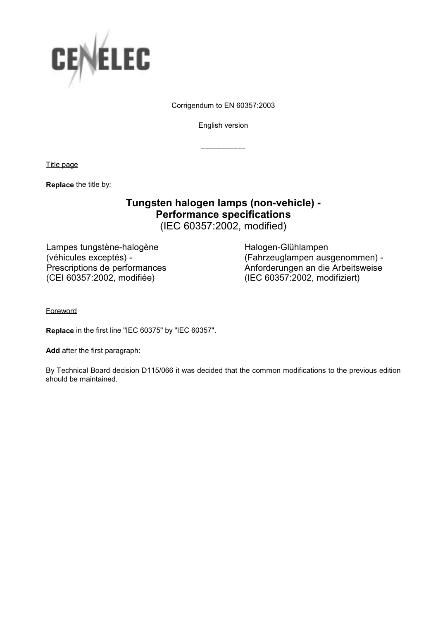

Corrigendum to EN 60357:2003

English version

\_\_\_\_\_\_\_\_\_\_\_

Title page

**Replace** the title by:

## **Tungsten halogen lamps (non-vehicle) - Performance specifications**  (IEC 60357:2002, modified)

Lampes tungstène-halogène (véhicules exceptés) - Prescriptions de performances (CEI 60357:2002, modifiée)

 Halogen-Glühlampen (Fahrzeuglampen ausgenommen) - Anforderungen an die Arbeitsweise (IEC 60357:2002, modifiziert)

**Foreword** 

**Replace** in the first line "IEC 60375" by "IEC 60357".

**Add** after the first paragraph:

By Technical Board decision D115/066 it was decided that the common modifications to the previous edition should be maintained.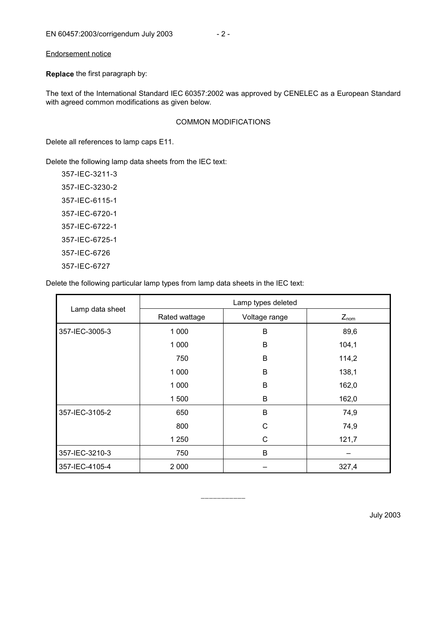**Replace** the first paragraph by:

The text of the International Standard IEC 60357:2002 was approved by CENELEC as a European Standard with agreed common modifications as given below.

#### COMMON MODIFICATIONS

Delete all references to lamp caps E11.

Delete the following lamp data sheets from the IEC text:

357-IEC-3211-3 357-IEC-3230-2 357-IEC-6115-1 357-IEC-6720-1 357-IEC-6722-1 357-IEC-6725-1 357-IEC-6726 357-IEC-6727

Delete the following particular lamp types from lamp data sheets in the IEC text:

|                 | Lamp types deleted |               |           |  |
|-----------------|--------------------|---------------|-----------|--|
| Lamp data sheet | Rated wattage      | Voltage range | $Z_{nom}$ |  |
| 357-IEC-3005-3  | 1 0 0 0            | B             | 89,6      |  |
|                 | 1 0 0 0            | B             | 104,1     |  |
|                 | 750                | B             | 114,2     |  |
|                 | 1 0 0 0            | B             | 138,1     |  |
|                 | 1 0 0 0            | B             | 162,0     |  |
|                 | 1500               | B             | 162,0     |  |
| 357-IEC-3105-2  | 650                | B             | 74,9      |  |
|                 | 800                | C             | 74,9      |  |
|                 | 1 250              | C             | 121,7     |  |
| 357-IEC-3210-3  | 750                | B             |           |  |
| 357-IEC-4105-4  | 2 0 0 0            |               | 327,4     |  |

\_\_\_\_\_\_\_\_\_\_\_

July 2003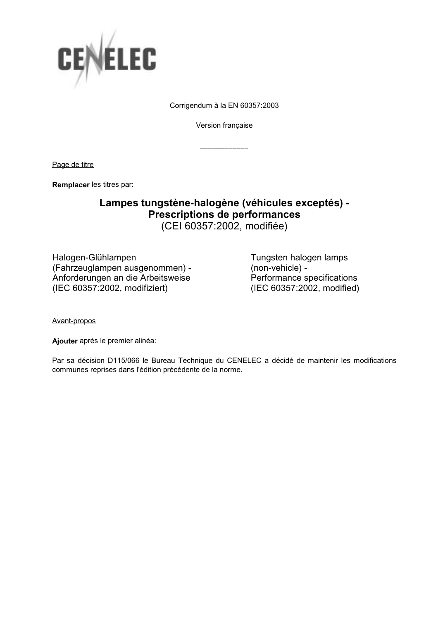

Corrigendum à la EN 60357:2003

Version française

\_\_\_\_\_\_\_\_\_\_\_\_

Page de titre

**Remplacer** les titres par:

## **Lampes tungstène-halogène (véhicules exceptés) - Prescriptions de performances**  (CEI 60357:2002, modifiée)

Halogen-Glühlampen (Fahrzeuglampen ausgenommen) - Anforderungen an die Arbeitsweise (IEC 60357:2002, modifiziert)

 Tungsten halogen lamps (non-vehicle) - Performance specifications (IEC 60357:2002, modified)

Avant-propos

**Ajouter** après le premier alinéa:

Par sa décision D115/066 le Bureau Technique du CENELEC a décidé de maintenir les modifications communes reprises dans l'édition précédente de la norme.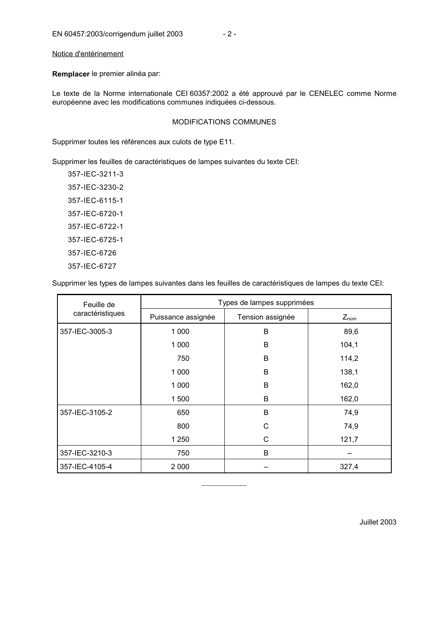Notice d'entérinement

**Remplacer** le premier alinéa par:

Le texte de la Norme internationale CEI 60357:2002 a été approuvé par le CENELEC comme Norme européenne avec les modifications communes indiquées ci-dessous.

#### MODIFICATIONS COMMUNES

Supprimer toutes les références aux culots de type E11.

Supprimer les feuilles de caractéristiques de lampes suivantes du texte CEI:

357-IEC-3211-3 357-IEC-3230-2 357-IEC-6115-1 357-IEC-6720-1 357-IEC-6722-1 357-IEC-6725-1 357-IEC-6726 357-IEC-6727

Supprimer les types de lampes suivantes dans les feuilles de caractéristiques de lampes du texte CEI:

| Feuille de       | Types de lampes supprimées |                  |           |  |
|------------------|----------------------------|------------------|-----------|--|
| caractéristiques | Puissance assignée         | Tension assignée | $Z_{nom}$ |  |
| 357-IEC-3005-3   | 1 0 0 0                    | B                | 89,6      |  |
|                  | 1 0 0 0                    | B                | 104,1     |  |
|                  | 750                        | B                | 114,2     |  |
|                  | 1 0 0 0                    | B                | 138,1     |  |
|                  | 1 0 0 0                    | B                | 162,0     |  |
|                  | 1 500                      | B                | 162,0     |  |
| 357-IEC-3105-2   | 650                        | B                | 74,9      |  |
|                  | 800                        | C                | 74,9      |  |
|                  | 1 250                      | C                | 121,7     |  |
| 357-IEC-3210-3   | 750                        | B                |           |  |
| 357-IEC-4105-4   | 2 0 0 0                    |                  | 327,4     |  |

\_\_\_\_\_\_\_\_\_\_\_

Juillet 2003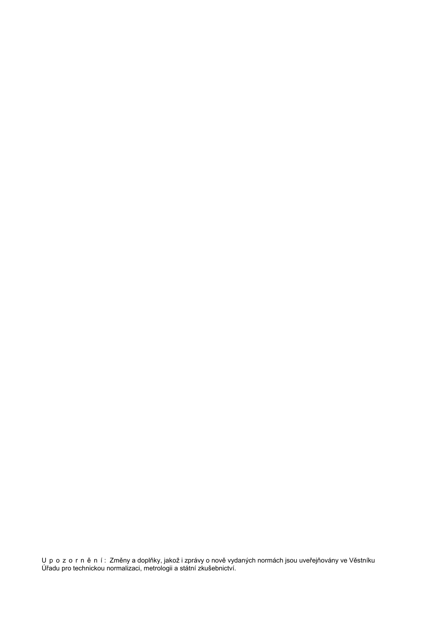Upozorně ní: Změny a doplňky, jakož i zprávy o nově vydaných normách jsou uveřejňovány ve Věstníku Úřadu pro technickou normalizaci, metrologii a státní zkušebnictví.